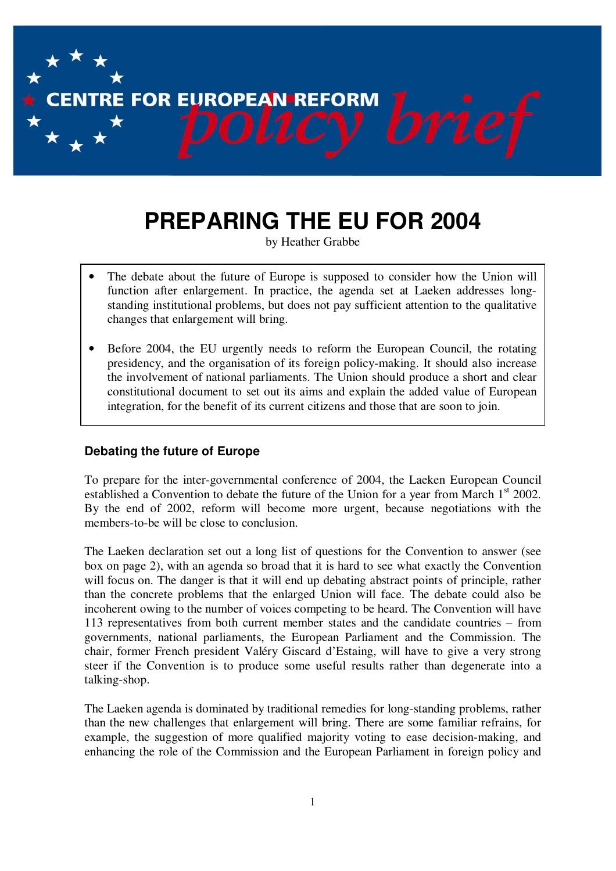# **CENTRE FOR EUROPEAN REFORM**

# **PREPARING THE EU FOR 2004**

by Heather Grabbe

- The debate about the future of Europe is supposed to consider how the Union will function after enlargement. In practice, the agenda set at Laeken addresses longstanding institutional problems, but does not pay sufficient attention to the qualitative changes that enlargement will bring.
- Before 2004, the EU urgently needs to reform the European Council, the rotating presidency, and the organisation of its foreign policy-making. It should also increase the involvement of national parliaments. The Union should produce a short and clear constitutional document to set out its aims and explain the added value of European integration, for the benefit of its current citizens and those that are soon to join.

# **Debating the future of Europe**

To prepare for the inter-governmental conference of 2004, the Laeken European Council established a Convention to debate the future of the Union for a year from March 1<sup>st</sup> 2002. By the end of 2002, reform will become more urgent, because negotiations with the members-to-be will be close to conclusion.

The Laeken declaration set out a long list of questions for the Convention to answer (see box on page 2), with an agenda so broad that it is hard to see what exactly the Convention will focus on. The danger is that it will end up debating abstract points of principle, rather than the concrete problems that the enlarged Union will face. The debate could also be incoherent owing to the number of voices competing to be heard. The Convention will have 113 representatives from both current member states and the candidate countries – from governments, national parliaments, the European Parliament and the Commission. The chair, former French president Valéry Giscard d'Estaing, will have to give a very strong steer if the Convention is to produce some useful results rather than degenerate into a talking-shop.

The Laeken agenda is dominated by traditional remedies for long-standing problems, rather than the new challenges that enlargement will bring. There are some familiar refrains, for example, the suggestion of more qualified majority voting to ease decision-making, and enhancing the role of the Commission and the European Parliament in foreign policy and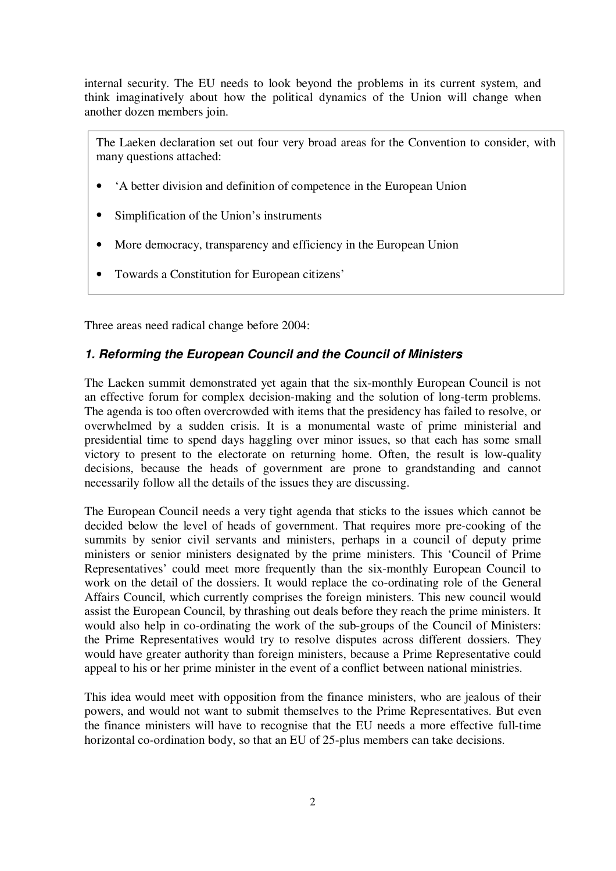internal security. The EU needs to look beyond the problems in its current system, and think imaginatively about how the political dynamics of the Union will change when another dozen members join.

The Laeken declaration set out four very broad areas for the Convention to consider, with many questions attached:

- 'A better division and definition of competence in the European Union
- Simplification of the Union's instruments
- More democracy, transparency and efficiency in the European Union
- Towards a Constitution for European citizens'

Three areas need radical change before 2004:

## *1. Reforming the European Council and the Council of Ministers*

The Laeken summit demonstrated yet again that the six-monthly European Council is not an effective forum for complex decision-making and the solution of long-term problems. The agenda is too often overcrowded with items that the presidency has failed to resolve, or overwhelmed by a sudden crisis. It is a monumental waste of prime ministerial and presidential time to spend days haggling over minor issues, so that each has some small victory to present to the electorate on returning home. Often, the result is low-quality decisions, because the heads of government are prone to grandstanding and cannot necessarily follow all the details of the issues they are discussing.

The European Council needs a very tight agenda that sticks to the issues which cannot be decided below the level of heads of government. That requires more pre-cooking of the summits by senior civil servants and ministers, perhaps in a council of deputy prime ministers or senior ministers designated by the prime ministers. This 'Council of Prime Representatives' could meet more frequently than the six-monthly European Council to work on the detail of the dossiers. It would replace the co-ordinating role of the General Affairs Council, which currently comprises the foreign ministers. This new council would assist the European Council, by thrashing out deals before they reach the prime ministers. It would also help in co-ordinating the work of the sub-groups of the Council of Ministers: the Prime Representatives would try to resolve disputes across different dossiers. They would have greater authority than foreign ministers, because a Prime Representative could appeal to his or her prime minister in the event of a conflict between national ministries.

This idea would meet with opposition from the finance ministers, who are jealous of their powers, and would not want to submit themselves to the Prime Representatives. But even the finance ministers will have to recognise that the EU needs a more effective full-time horizontal co-ordination body, so that an EU of 25-plus members can take decisions.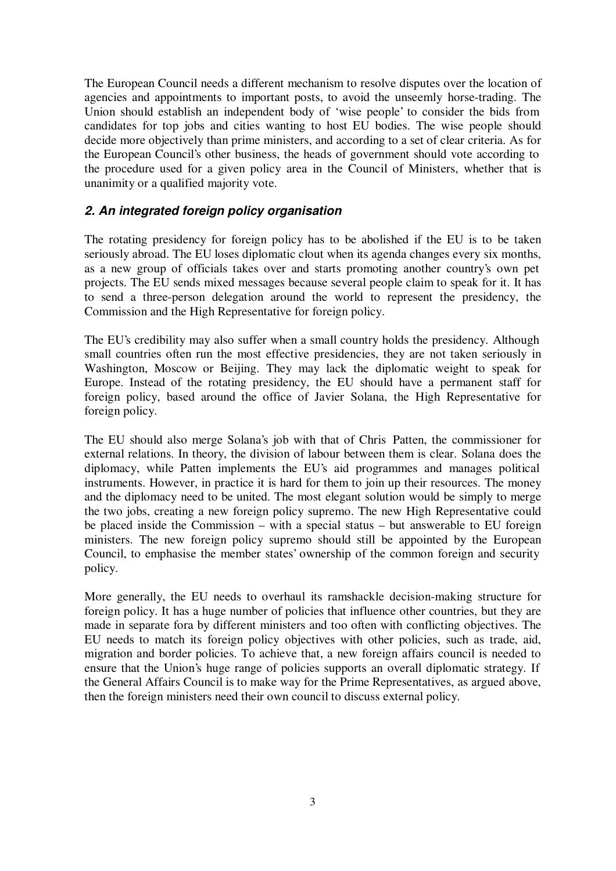The European Council needs a different mechanism to resolve disputes over the location of agencies and appointments to important posts, to avoid the unseemly horse-trading. The Union should establish an independent body of 'wise people' to consider the bids from candidates for top jobs and cities wanting to host EU bodies. The wise people should decide more objectively than prime ministers, and according to a set of clear criteria. As for the European Council's other business, the heads of government should vote according to the procedure used for a given policy area in the Council of Ministers, whether that is unanimity or a qualified majority vote.

# *2. An integrated foreign policy organisation*

The rotating presidency for foreign policy has to be abolished if the EU is to be taken seriously abroad. The EU loses diplomatic clout when its agenda changes every six months, as a new group of officials takes over and starts promoting another country's own pet projects. The EU sends mixed messages because several people claim to speak for it. It has to send a three-person delegation around the world to represent the presidency, the Commission and the High Representative for foreign policy.

The EU's credibility may also suffer when a small country holds the presidency. Although small countries often run the most effective presidencies, they are not taken seriously in Washington, Moscow or Beijing. They may lack the diplomatic weight to speak for Europe. Instead of the rotating presidency, the EU should have a permanent staff for foreign policy, based around the office of Javier Solana, the High Representative for foreign policy.

The EU should also merge Solana's job with that of Chris Patten, the commissioner for external relations. In theory, the division of labour between them is clear. Solana does the diplomacy, while Patten implements the EU's aid programmes and manages political instruments. However, in practice it is hard for them to join up their resources. The money and the diplomacy need to be united. The most elegant solution would be simply to merge the two jobs, creating a new foreign policy supremo. The new High Representative could be placed inside the Commission – with a special status – but answerable to EU foreign ministers. The new foreign policy supremo should still be appointed by the European Council, to emphasise the member states' ownership of the common foreign and security policy.

More generally, the EU needs to overhaul its ramshackle decision-making structure for foreign policy. It has a huge number of policies that influence other countries, but they are made in separate fora by different ministers and too often with conflicting objectives. The EU needs to match its foreign policy objectives with other policies, such as trade, aid, migration and border policies. To achieve that, a new foreign affairs council is needed to ensure that the Union's huge range of policies supports an overall diplomatic strategy. If the General Affairs Council is to make way for the Prime Representatives, as argued above, then the foreign ministers need their own council to discuss external policy.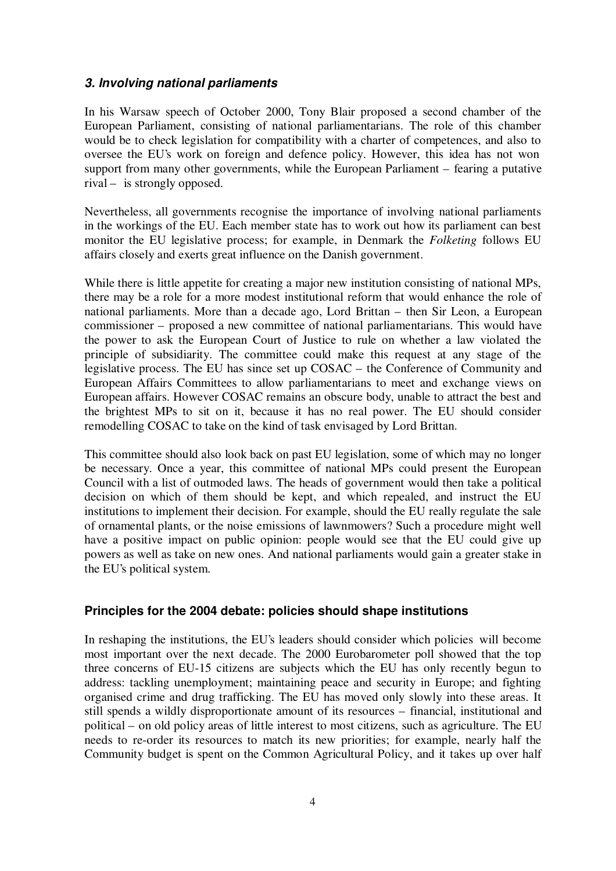## *3. Involving national parliaments*

In his Warsaw speech of October 2000, Tony Blair proposed a second chamber of the European Parliament, consisting of national parliamentarians. The role of this chamber would be to check legislation for compatibility with a charter of competences, and also to oversee the EU's work on foreign and defence policy. However, this idea has not won support from many other governments, while the European Parliament – fearing a putative rival – is strongly opposed.

Nevertheless, all governments recognise the importance of involving national parliaments in the workings of the EU. Each member state has to work out how its parliament can best monitor the EU legislative process; for example, in Denmark the *Folketing* follows EU affairs closely and exerts great influence on the Danish government.

While there is little appetite for creating a major new institution consisting of national MPs, there may be a role for a more modest institutional reform that would enhance the role of national parliaments. More than a decade ago, Lord Brittan – then Sir Leon, a European commissioner – proposed a new committee of national parliamentarians. This would have the power to ask the European Court of Justice to rule on whether a law violated the principle of subsidiarity. The committee could make this request at any stage of the legislative process. The EU has since set up COSAC – the Conference of Community and European Affairs Committees to allow parliamentarians to meet and exchange views on European affairs. However COSAC remains an obscure body, unable to attract the best and the brightest MPs to sit on it, because it has no real power. The EU should consider remodelling COSAC to take on the kind of task envisaged by Lord Brittan.

This committee should also look back on past EU legislation, some of which may no longer be necessary. Once a year, this committee of national MPs could present the European Council with a list of outmoded laws. The heads of government would then take a political decision on which of them should be kept, and which repealed, and instruct the EU institutions to implement their decision. For example, should the EU really regulate the sale of ornamental plants, or the noise emissions of lawnmowers? Such a procedure might well have a positive impact on public opinion: people would see that the EU could give up powers as well as take on new ones. And national parliaments would gain a greater stake in the EU's political system.

#### **Principles for the 2004 debate: policies should shape institutions**

In reshaping the institutions, the EU's leaders should consider which policies will become most important over the next decade. The 2000 Eurobarometer poll showed that the top three concerns of EU-15 citizens are subjects which the EU has only recently begun to address: tackling unemployment; maintaining peace and security in Europe; and fighting organised crime and drug trafficking. The EU has moved only slowly into these areas. It still spends a wildly disproportionate amount of its resources – financial, institutional and political – on old policy areas of little interest to most citizens, such as agriculture. The EU needs to re-order its resources to match its new priorities; for example, nearly half the Community budget is spent on the Common Agricultural Policy, and it takes up over half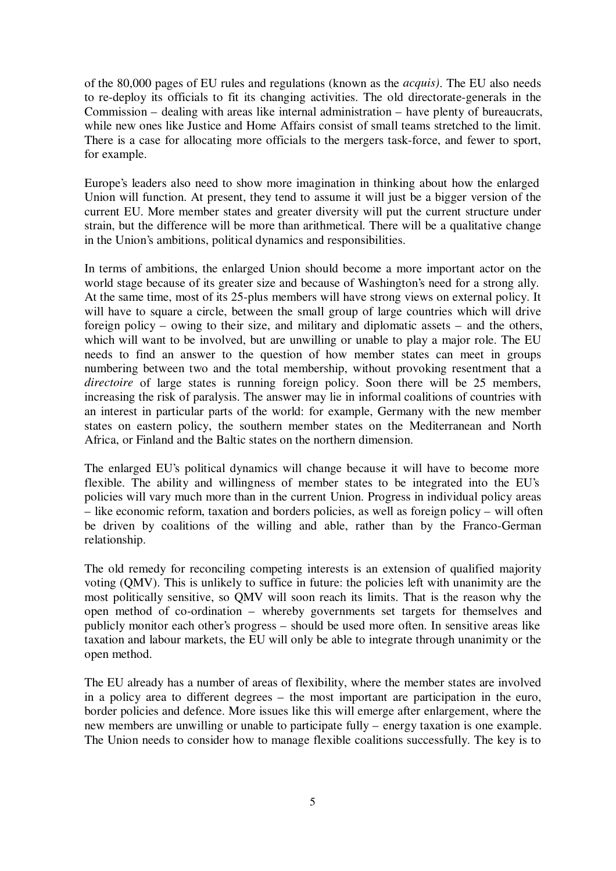of the 80,000 pages of EU rules and regulations (known as the *acquis)*. The EU also needs to re-deploy its officials to fit its changing activities. The old directorate-generals in the Commission – dealing with areas like internal administration – have plenty of bureaucrats, while new ones like Justice and Home Affairs consist of small teams stretched to the limit. There is a case for allocating more officials to the mergers task-force, and fewer to sport, for example.

Europe's leaders also need to show more imagination in thinking about how the enlarged Union will function. At present, they tend to assume it will just be a bigger version of the current EU. More member states and greater diversity will put the current structure under strain, but the difference will be more than arithmetical. There will be a qualitative change in the Union's ambitions, political dynamics and responsibilities.

In terms of ambitions, the enlarged Union should become a more important actor on the world stage because of its greater size and because of Washington's need for a strong ally. At the same time, most of its 25-plus members will have strong views on external policy. It will have to square a circle, between the small group of large countries which will drive foreign policy – owing to their size, and military and diplomatic assets – and the others, which will want to be involved, but are unwilling or unable to play a major role. The EU needs to find an answer to the question of how member states can meet in groups numbering between two and the total membership, without provoking resentment that a *directoire* of large states is running foreign policy. Soon there will be 25 members, increasing the risk of paralysis. The answer may lie in informal coalitions of countries with an interest in particular parts of the world: for example, Germany with the new member states on eastern policy, the southern member states on the Mediterranean and North Africa, or Finland and the Baltic states on the northern dimension.

The enlarged EU's political dynamics will change because it will have to become more flexible. The ability and willingness of member states to be integrated into the EU's policies will vary much more than in the current Union. Progress in individual policy areas – like economic reform, taxation and borders policies, as well as foreign policy – will often be driven by coalitions of the willing and able, rather than by the Franco-German relationship.

The old remedy for reconciling competing interests is an extension of qualified majority voting (QMV). This is unlikely to suffice in future: the policies left with unanimity are the most politically sensitive, so QMV will soon reach its limits. That is the reason why the open method of co-ordination – whereby governments set targets for themselves and publicly monitor each other's progress – should be used more often. In sensitive areas like taxation and labour markets, the EU will only be able to integrate through unanimity or the open method.

The EU already has a number of areas of flexibility, where the member states are involved in a policy area to different degrees – the most important are participation in the euro, border policies and defence. More issues like this will emerge after enlargement, where the new members are unwilling or unable to participate fully – energy taxation is one example. The Union needs to consider how to manage flexible coalitions successfully. The key is to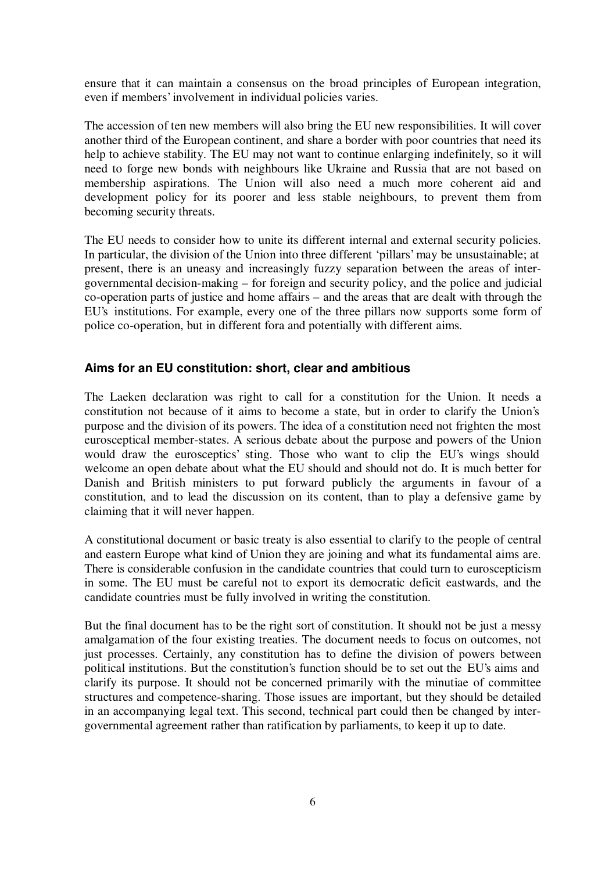ensure that it can maintain a consensus on the broad principles of European integration, even if members' involvement in individual policies varies.

The accession of ten new members will also bring the EU new responsibilities. It will cover another third of the European continent, and share a border with poor countries that need its help to achieve stability. The EU may not want to continue enlarging indefinitely, so it will need to forge new bonds with neighbours like Ukraine and Russia that are not based on membership aspirations. The Union will also need a much more coherent aid and development policy for its poorer and less stable neighbours, to prevent them from becoming security threats.

The EU needs to consider how to unite its different internal and external security policies. In particular, the division of the Union into three different 'pillars' may be unsustainable; at present, there is an uneasy and increasingly fuzzy separation between the areas of intergovernmental decision-making – for foreign and security policy, and the police and judicial co-operation parts of justice and home affairs – and the areas that are dealt with through the EU's institutions. For example, every one of the three pillars now supports some form of police co-operation, but in different fora and potentially with different aims.

#### **Aims for an EU constitution: short, clear and ambitious**

The Laeken declaration was right to call for a constitution for the Union. It needs a constitution not because of it aims to become a state, but in order to clarify the Union's purpose and the division of its powers. The idea of a constitution need not frighten the most eurosceptical member-states. A serious debate about the purpose and powers of the Union would draw the eurosceptics' sting. Those who want to clip the EU's wings should welcome an open debate about what the EU should and should not do. It is much better for Danish and British ministers to put forward publicly the arguments in favour of a constitution, and to lead the discussion on its content, than to play a defensive game by claiming that it will never happen.

A constitutional document or basic treaty is also essential to clarify to the people of central and eastern Europe what kind of Union they are joining and what its fundamental aims are. There is considerable confusion in the candidate countries that could turn to euroscepticism in some. The EU must be careful not to export its democratic deficit eastwards, and the candidate countries must be fully involved in writing the constitution.

But the final document has to be the right sort of constitution. It should not be just a messy amalgamation of the four existing treaties. The document needs to focus on outcomes, not just processes. Certainly, any constitution has to define the division of powers between political institutions. But the constitution's function should be to set out the EU's aims and clarify its purpose. It should not be concerned primarily with the minutiae of committee structures and competence-sharing. Those issues are important, but they should be detailed in an accompanying legal text. This second, technical part could then be changed by intergovernmental agreement rather than ratification by parliaments, to keep it up to date.